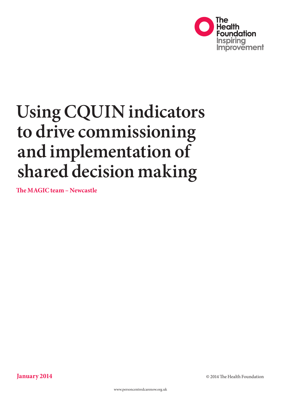

# **Using CQUIN indicators to drive commissioning and implementation of shared decision making**

**The MAGIC team – Newcastle**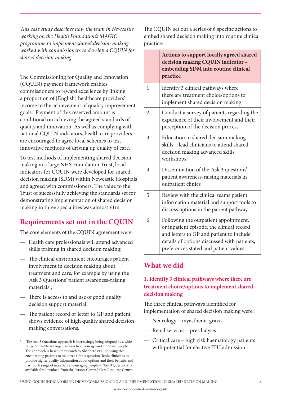*This case study describes how the team in Newcastle working on the Health Foundation's MAGIC programme to implement shared decision making worked with commissioners to develop a CQUIN for shared decision making.*

The Commissioning for Quality and Innovation (CQUIN) payment framework enables commissioners to reward excellence by linking a proportion of [English] healthcare providers' income to the achievement of quality improvement goals. Payment of this reserved amount is conditional on achieving the agreed standards of quality and innovation. As well as complying with national CQUIN indicators, health care providers are encouraged to agree local schemes to test innovative methods of driving up quality of care.

To test methods of implementing shared decision making in a large NHS Foundation Trust, local indicators for CQUIN were developed for shared decision making (SDM) within Newcastle Hospitals and agreed with commissioners. The value to the Trust of successfully achieving the standards set for demonstrating implementation of shared decision making in three specialities was almost £1m.

# **Requirements set out in the CQUIN**

The core elements of the CQUIN agreement were:

- Health care professionals will attend advanced skills training in shared decision making;
- The clinical environment encourages patient involvement in decision making about treatment and care, for example by using the 'Ask 3 Questions' patient awareness-raising materials<sup>1</sup>;
- There is access to and use of good quality decision support material;
- The patient record or letter to GP and patient shows evidence of high quality shared decision making conversations.

The CQUIN set out a series of 6 specific actions to embed shared decision making into routine clinical practice:

|                  | Actions to support locally agreed shared<br>decision making CQUIN indicator -<br>embedding SDM into routine clinical<br>practice                                                                                       |
|------------------|------------------------------------------------------------------------------------------------------------------------------------------------------------------------------------------------------------------------|
| 1.               | Identify 3 clinical pathways where<br>there are treatment choice/options to<br>implement shared decision making                                                                                                        |
| 2.               | Conduct a survey of patients regarding the<br>experience of their involvement and their<br>perception of the decision process                                                                                          |
| 3.               | Education in shared decision making<br>skills - lead clinicians to attend shared<br>decision making advanced skills<br>workshops                                                                                       |
| $\overline{4}$ . | Dissemination of the 'Ask 3 questions'<br>patient awareness-raising materials in<br>outpatient clinics                                                                                                                 |
| 5.               | Review with the clinical teams patient<br>information material and support tools to<br>discuss options in the patient pathway                                                                                          |
| 6.               | Following the outpatient appointment,<br>or inpatient episode, the clinical record<br>and letters to GP and patient to include<br>details of options discussed with patients,<br>preferences stated and patient values |

## **What we did**

## **1. Identify 3 clinical pathways where there are treatment choice/options to implement shared decision making**

The three clinical pathways identified for implementation of shared decision making were:

- Neurology myasthenia gravis
- Renal services pre-dialysis
- Critical care high risk haematology patients with potential for elective ITU admission

The Ask 3 Questions approach is increasingly being adopted by a wide range of healthcare organisations to encourage and empower people. The approach is based on research by Shepherd et al. showing that encouraging patients to ask three simple questions leads clinicians to provide higher quality information about options and their benefits and harms. A range of materials encouraging people to 'Ask 3 Questions' is available for download from the Person-Centred Care Resource Centre.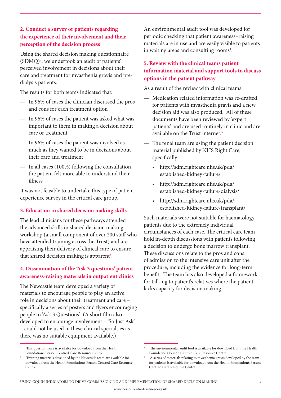## **2. Conduct a survey or patients regarding the experience of their involvement and their perception of the decision process**

Using the shared decision making questionnaire (SDMQ)2 , we undertook an audit of patients' perceived involvement in decisions about their care and treatment for myasthenia gravis and predialysis patients.

The results for both teams indicated that:

- In 96% of cases the clinician discussed the pros and cons for each treatment option
- In 96% of cases the patient was asked what was important to them in making a decision about care or treatment
- In 96% of cases the patient was involved as much as they wanted to be in decisions about their care and treatment
- In all cases (100%) following the consultation, the patient felt more able to understand their illness

It was not feasible to undertake this type of patient experience survey in the critical care group.

#### **3. Education in shared decision making skills**

The lead clinicians for these pathways attended the advanced skills in shared decision making workshop (a small component of over 200 staff who have attended training across the Trust) and are appraising their delivery of clinical care to ensure that shared decision making is apparent<sup>3</sup>.

## **4. Dissemination of the 'Ask 3 questions' patient awareness-raising materials in outpatient clinics**

The Newcastle team developed a variety of materials to encourage people to play an active role in decisions about their treatment and care – specifically a series of posters and flyers encouraging people to 'Ask 3 Questions'. (A short film also developed to encourage involvement – 'So Just Ask' – could not be used in these clinical specialties as there was no suitable equipment available.)

#### **5. Review with the clinical teams patient information material and support tools to discuss options in the patient pathway**

As a result of the review with clinical teams:

- Medication related information was re-drafted for patients with myasthenia gravis and a new decision aid was also produced. All of these documents have been reviewed by 'expert patients' and are used routinely in clinic and are available on the Trust internet.5
- The renal team are using the patient decision material published by NHS Right Care, specifically:
	- [http://sdm.rightcare.nhs.uk/pda/](http://sdm.rightcare.nhs.uk/pda/established-kidney-failure/) [established-kidney-failure/](http://sdm.rightcare.nhs.uk/pda/established-kidney-failure/)
	- [http://sdm.rightcare.nhs.uk/pda/](http://sdm.rightcare.nhs.uk/pda/established-kidney-failure-dialysis/) [established-kidney-failure-dialysis/](http://sdm.rightcare.nhs.uk/pda/established-kidney-failure-dialysis/)
	- [http://sdm.rightcare.nhs.uk/pda/](http://sdm.rightcare.nhs.uk/pda/established-kidney-failure-transplant/) [established-kidney-failure-transplant/](http://sdm.rightcare.nhs.uk/pda/established-kidney-failure-transplant/)

Such materials were not suitable for haematology patients due to the extremely individual circumstances of each case. The critical care team hold in-depth discussions with patients following a decision to undergo bone marrow transplant. These discussions relate to the pros and cons of admission to the intensive care unit after the procedure, including the evidence for long-term benefit. The team has also developed a framework for talking to patient's relatives where the patient lacks capacity for decision making.

An environmental audit tool was developed for periodic checking that patient awareness–raising materials are in use and are easily visible to patients in waiting areas and consulting rooms<sup>4</sup>.

<sup>2</sup> This questionnaire is available for download from the Health Foundation's Person Centred Care Resource Centre.

<sup>3</sup> Training materials developed by the Newcastle team are available for download from the Health Foundation's Person Centred Care Resource Centre.

The environmental audit tool is available for download from the Health Foundation's Person Centred Care Resource Centre.

<sup>5</sup> A series of materials relating to myasthenia gravis developed by the team for patients is available for download from the Health Foundation's Person Centred Care Resource Centre.